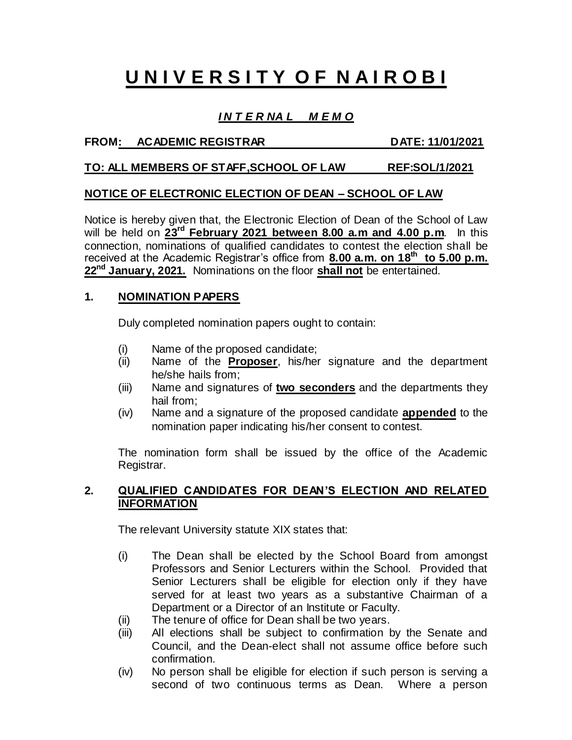# **U N I V E R S I T Y O F N A I R O B I**

## *I N T E R NA L M E M O*

#### FROM: ACADEMIC REGISTRAR DATE: 11/01/2021

#### **TO: ALL MEMBERS OF STAFF,SCHOOL OF LAW REF:SOL/1/2021**

#### **NOTICE OF ELECTRONIC ELECTION OF DEAN – SCHOOL OF LAW**

Notice is hereby given that, the Electronic Election of Dean of the School of Law will be held on  $23^{\text{rd}}$  February 2021 between 8.00 a.m and 4.00 p.m. In this connection, nominations of qualified candidates to contest the election shall be received at the Academic Registrar's office from **8.00 a.m. on 18<sup>th</sup> to 5.00 p.m. 22nd January, 2021.** Nominations on the floor **shall not** be entertained.

#### **1. NOMINATION PAPERS**

Duly completed nomination papers ought to contain:

- Name of the proposed candidate;
- (ii) Name of the **Proposer**, his/her signature and the department he/she hails from;
- (iii) Name and signatures of **two seconders** and the departments they hail from;
- (iv) Name and a signature of the proposed candidate **appended** to the nomination paper indicating his/her consent to contest.

The nomination form shall be issued by the office of the Academic Registrar.

#### **2. QUALIFIED CANDIDATES FOR DEAN'S ELECTION AND RELATED INFORMATION**

The relevant University statute XIX states that:

- (i) The Dean shall be elected by the School Board from amongst Professors and Senior Lecturers within the School. Provided that Senior Lecturers shall be eligible for election only if they have served for at least two years as a substantive Chairman of a Department or a Director of an Institute or Faculty.
- (ii) The tenure of office for Dean shall be two years.
- (iii) All elections shall be subject to confirmation by the Senate and Council, and the Dean-elect shall not assume office before such confirmation.
- (iv) No person shall be eligible for election if such person is serving a second of two continuous terms as Dean. Where a person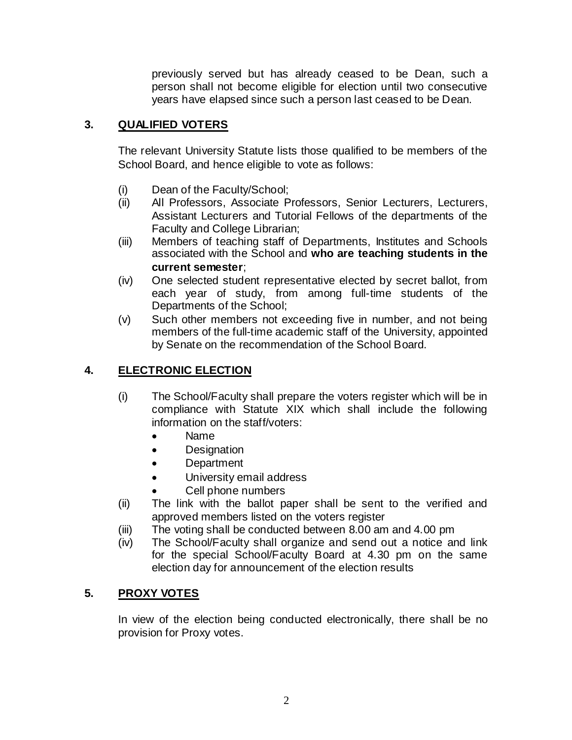previously served but has already ceased to be Dean, such a person shall not become eligible for election until two consecutive years have elapsed since such a person last ceased to be Dean.

# **3. QUALIFIED VOTERS**

The relevant University Statute lists those qualified to be members of the School Board, and hence eligible to vote as follows:

- (i) Dean of the Faculty/School;
- (ii) All Professors, Associate Professors, Senior Lecturers, Lecturers, Assistant Lecturers and Tutorial Fellows of the departments of the Faculty and College Librarian;
- (iii) Members of teaching staff of Departments, Institutes and Schools associated with the School and **who are teaching students in the current semester**;
- (iv) One selected student representative elected by secret ballot, from each year of study, from among full-time students of the Departments of the School;
- (v) Such other members not exceeding five in number, and not being members of the full-time academic staff of the University, appointed by Senate on the recommendation of the School Board.

# **4. ELECTRONIC ELECTION**

- (i) The School/Faculty shall prepare the voters register which will be in compliance with Statute XIX which shall include the following information on the staff/voters:
	- Name
	- Designation
	- Department
	- University email address
	- Cell phone numbers
- (ii) The link with the ballot paper shall be sent to the verified and approved members listed on the voters register
- (iii) The voting shall be conducted between 8.00 am and 4.00 pm
- (iv) The School/Faculty shall organize and send out a notice and link for the special School/Faculty Board at 4.30 pm on the same election day for announcement of the election results

## **5. PROXY VOTES**

In view of the election being conducted electronically, there shall be no provision for Proxy votes.